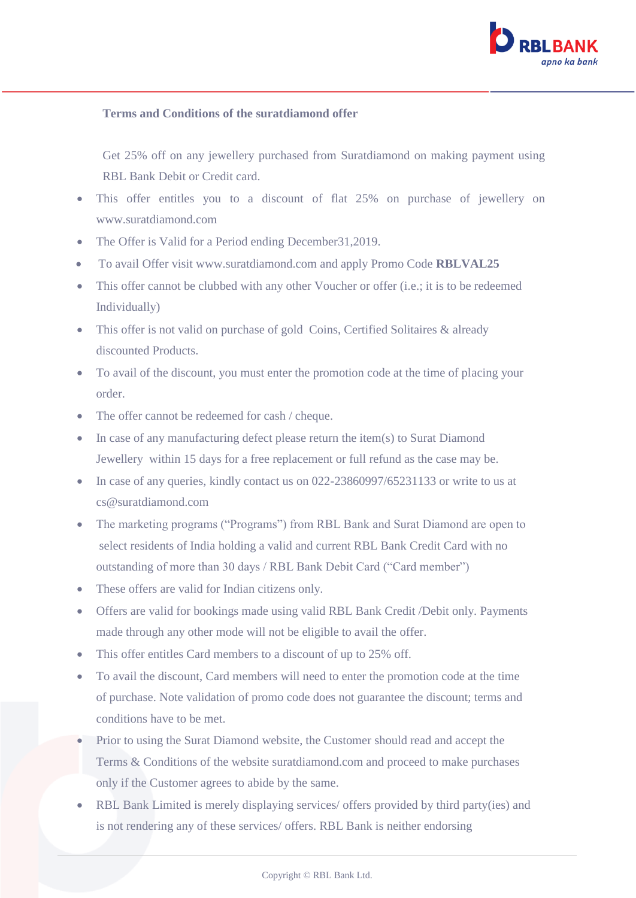

## **Terms and Conditions of the suratdiamond offer**

Get 25% off on any jewellery purchased from Suratdiamond on making payment using RBL Bank Debit or Credit card.

- This offer entitles you to a discount of flat 25% on purchase of jewellery on www.suratdiamond.com
- The Offer is Valid for a Period ending December 31, 2019.
- To avail Offer visit www.suratdiamond.com and apply Promo Code **RBLVAL25**
- This offer cannot be clubbed with any other Voucher or offer (i.e.; it is to be redeemed Individually)
- This offer is not valid on purchase of gold Coins, Certified Solitaires & already discounted Products.
- To avail of the discount, you must enter the promotion code at the time of placing your order.
- The offer cannot be redeemed for cash / cheque.
- In case of any manufacturing defect please return the item(s) to Surat Diamond Jewellery within 15 days for a free replacement or full refund as the case may be.
- In case of any queries, kindly contact us on 022-23860997/65231133 or write to us at cs@suratdiamond.com
- The marketing programs ("Programs") from RBL Bank and Surat Diamond are open to select residents of India holding a valid and current RBL Bank Credit Card with no outstanding of more than 30 days / RBL Bank Debit Card ("Card member")
- These offers are valid for Indian citizens only.
- Offers are valid for bookings made using valid RBL Bank Credit /Debit only. Payments made through any other mode will not be eligible to avail the offer.
- This offer entitles Card members to a discount of up to 25% off.
- To avail the discount, Card members will need to enter the promotion code at the time of purchase. Note validation of promo code does not guarantee the discount; terms and conditions have to be met.
- Prior to using the Surat Diamond website, the Customer should read and accept the Terms & Conditions of the website suratdiamond.com and proceed to make purchases only if the Customer agrees to abide by the same.
- RBL Bank Limited is merely displaying services/ offers provided by third party(ies) and is not rendering any of these services/ offers. RBL Bank is neither endorsing